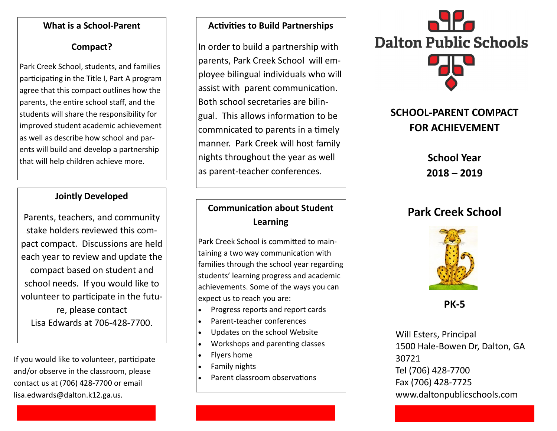#### **What is a School-Parent**

### **Compact?**

Park Creek School, students, and families participating in the Title I, Part A program agree that this compact outlines how the parents, the entire school staff, and the students will share the responsibility for improved student academic achievement as well as describe how school and parents will build and develop a partnership that will help children achieve more.

### **Jointly Developed**

Parents, teachers, and community stake holders reviewed this compact compact. Discussions are held each year to review and update the compact based on student and school needs. If you would like to volunteer to participate in the future, please contact Krista Paigeat 706-428-7700.

If you would like to volunteer, participate and/or observe in the classroom, please contact us at (706) 428-7700 or email krista.paige@dalton.k12.ga.us.

#### **Activities to Build Partnerships**

In order to build a partnership with parents, Park Creek School will employee bilingual individuals who will assist with parent communication. Both school secretaries are bilingual. This allows information to be commnicated to parents in a timely manner. Park Creek will host family nights throughout the year as well as parent-teacher conferences.

## **Communication about Student Learning**

Park Creek School is committed to maintaining a two way communication with families through the school year regarding students' learning progress and academic achievements. Some of the ways you can expect us to reach you are:

- Progress reports and report cards
- Parent-teacher conferences
- Updates on the school Website
- Workshops and parenting classes
- Flyers home
- Family nights
- Parent classroom observations



# **SCHOOL-PARENT COMPACT FOR ACHIEVEMENT**

**School Year 2020 – 2021**

# **Park Creek School**



**PK-5** 

Will Esters, Principal 1500 Hale-Bowen Dr, Dalton, GA 30721 Tel (706) 428-7700 Fax (706) 428-7725 www.daltonpublicschools.com